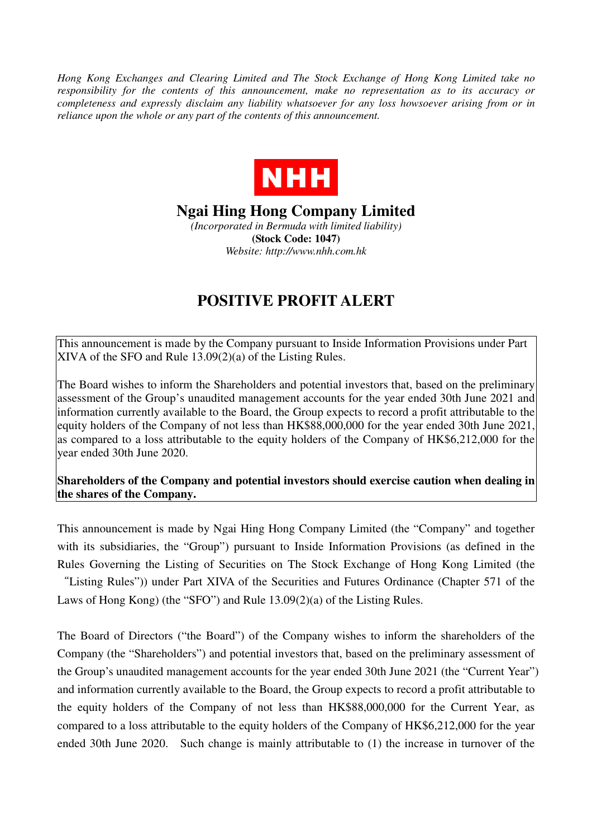*Hong Kong Exchanges and Clearing Limited and The Stock Exchange of Hong Kong Limited take no responsibility for the contents of this announcement, make no representation as to its accuracy or completeness and expressly disclaim any liability whatsoever for any loss howsoever arising from or in reliance upon the whole or any part of the contents of this announcement.* 



## **Ngai Hing Hong Company Limited**

*(Incorporated in Bermuda with limited liability)*  **(Stock Code: 1047)**  *Website: http://www.nhh.com.hk* 

## **POSITIVE PROFIT ALERT**

This announcement is made by the Company pursuant to Inside Information Provisions under Part XIVA of the SFO and Rule 13.09(2)(a) of the Listing Rules.

The Board wishes to inform the Shareholders and potential investors that, based on the preliminary assessment of the Group's unaudited management accounts for the year ended 30th June 2021 and information currently available to the Board, the Group expects to record a profit attributable to the equity holders of the Company of not less than HK\$88,000,000 for the year ended 30th June 2021, as compared to a loss attributable to the equity holders of the Company of HK\$6,212,000 for the year ended 30th June 2020.

## **Shareholders of the Company and potential investors should exercise caution when dealing in the shares of the Company.**

This announcement is made by Ngai Hing Hong Company Limited (the "Company" and together with its subsidiaries, the "Group") pursuant to Inside Information Provisions (as defined in the Rules Governing the Listing of Securities on The Stock Exchange of Hong Kong Limited (the "Listing Rules")) under Part XIVA of the Securities and Futures Ordinance (Chapter 571 of the

Laws of Hong Kong) (the "SFO") and Rule 13.09(2)(a) of the Listing Rules.

The Board of Directors ("the Board") of the Company wishes to inform the shareholders of the Company (the "Shareholders") and potential investors that, based on the preliminary assessment of the Group's unaudited management accounts for the year ended 30th June 2021 (the "Current Year") and information currently available to the Board, the Group expects to record a profit attributable to the equity holders of the Company of not less than HK\$88,000,000 for the Current Year, as compared to a loss attributable to the equity holders of the Company of HK\$6,212,000 for the year ended 30th June 2020. Such change is mainly attributable to (1) the increase in turnover of the